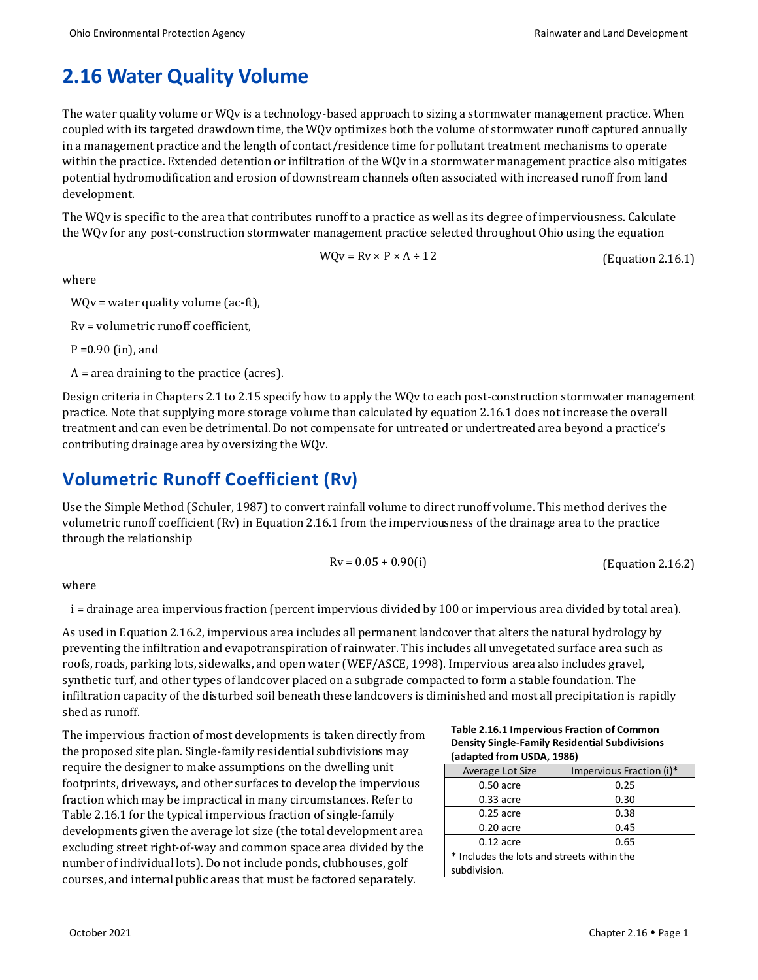# **2.16 Water Quality Volume**

The water quality volume or WQv is a technology-based approach to sizing a stormwater management practice. When coupled with its targeted drawdown time, the WQv optimizes both the volume of stormwater runoff captured annually in a management practice and the length of contact/residence time for pollutant treatment mechanisms to operate within the practice. Extended detention or infiltration of the WQv in a stormwater management practice also mitigates potential hydromodification and erosion of downstream channels often associated with increased runoff from land development.

The WQv is specific to the area that contributes runoff to a practice as well as its degree of imperviousness. Calculate the WQv for any post-construction stormwater management practice selected throughout Ohio using the equation

 $WQv = Rv \times P \times A \div 12$ 

(Equation 2.16.1)

where

WQv = water quality volume (ac-ft),

Rv = volumetric runoff coefficient,

 $P = 0.90$  (in), and

A = area draining to the practice (acres).

Design criteria in Chapters 2.1 to 2.15 specify how to apply the WQv to each post-construction stormwater management practice. Note that supplying more storage volume than calculated by equation 2.16.1 does not increase the overall treatment and can even be detrimental. Do not compensate for untreated or undertreated area beyond a practice's contributing drainage area by oversizing the WQv.

## **Volumetric Runoff Coefficient (Rv)**

Use the Simple Method (Schuler, 1987) to convert rainfall volume to direct runoff volume. This method derives the volumetric runoff coefficient (Rv) in Equation 2.16.1 from the imperviousness of the drainage area to the practice through the relationship

$$
Rv = 0.05 + 0.90(i)
$$
 (Equation 2.16.2)

where

i = drainage area impervious fraction (percent impervious divided by 100 or impervious area divided by total area).

As used in Equation 2.16.2, impervious area includes all permanent landcover that alters the natural hydrology by preventing the infiltration and evapotranspiration of rainwater. This includes all unvegetated surface area such as roofs, roads, parking lots, sidewalks, and open water (WEF/ASCE, 1998). Impervious area also includes gravel, synthetic turf, and other types of landcover placed on a subgrade compacted to form a stable foundation. The infiltration capacity of the disturbed soil beneath these landcovers is diminished and most all precipitation is rapidly shed as runoff.

The impervious fraction of most developments is taken directly from the proposed site plan. Single-family residential subdivisions may require the designer to make assumptions on the dwelling unit footprints, driveways, and other surfaces to develop the impervious fraction which may be impractical in many circumstances. Refer to Table 2.16.1 for the typical impervious fraction of single-family developments given the average lot size (the total development area excluding street right-of-way and common space area divided by the number of individual lots). Do not include ponds, clubhouses, golf courses, and internal public areas that must be factored separately.

**Table 2.16.1 Impervious Fraction of Common Density Single-Family Residential Subdivisions (adapted from USDA, 1986)** 

| Average Lot Size                           | Impervious Fraction (i)* |
|--------------------------------------------|--------------------------|
| 0.50 acre                                  | 0.25                     |
| 0.33 acre                                  | 0.30                     |
| $0.25$ acre                                | 0.38                     |
| $0.20$ acre                                | 0.45                     |
| $0.12$ acre                                | 0.65                     |
| * Includes the lots and streets within the |                          |
| subdivision.                               |                          |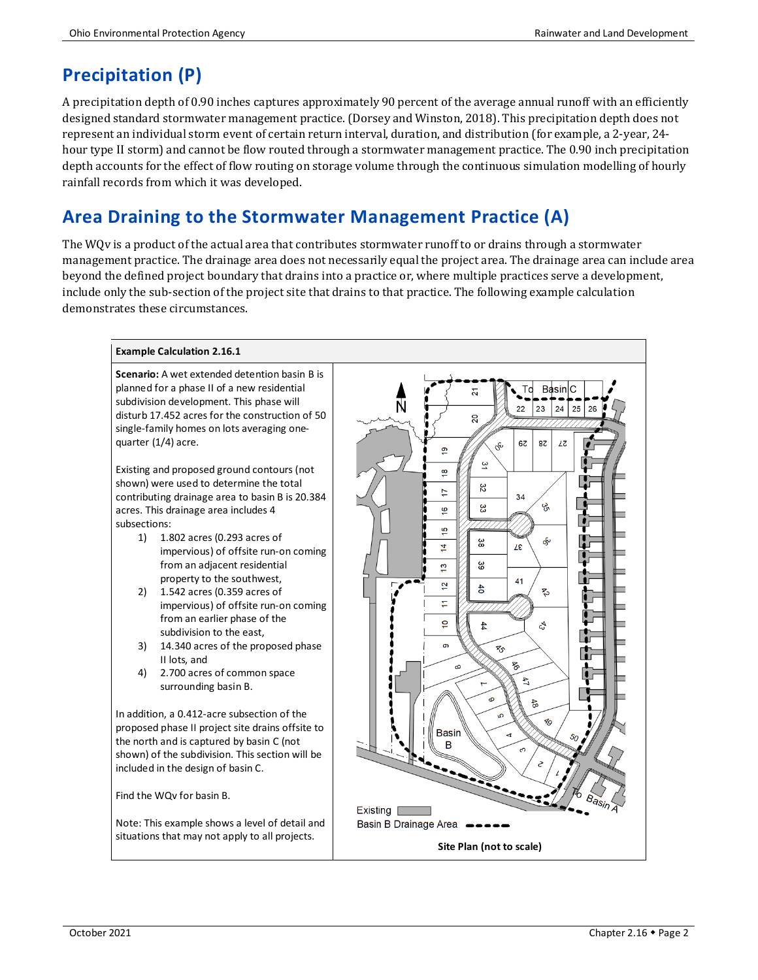# **Precipitation (P)**

A precipitation depth of 0.90 inches captures approximately 90 percent of the average annual runoff with an efficiently designed standard stormwater management practice. (Dorsey and Winston, 2018). This precipitation depth does not represent an individual storm event of certain return interval, duration, and distribution (for example, a 2-year, 24 hour type II storm) and cannot be flow routed through a stormwater management practice. The 0.90 inch precipitation depth accounts for the effect of flow routing on storage volume through the continuous simulation modelling of hourly rainfall records from which it was developed.

## **Area Draining to the Stormwater Management Practice (A)**

The WQv is a product of the actual area that contributes stormwater runoff to or drains through a stormwater management practice. The drainage area does not necessarily equal the project area. The drainage area can include area beyond the defined project boundary that drains into a practice or, where multiple practices serve a development, include only the sub-section of the project site that drains to that practice. The following example calculation demonstrates these circumstances.